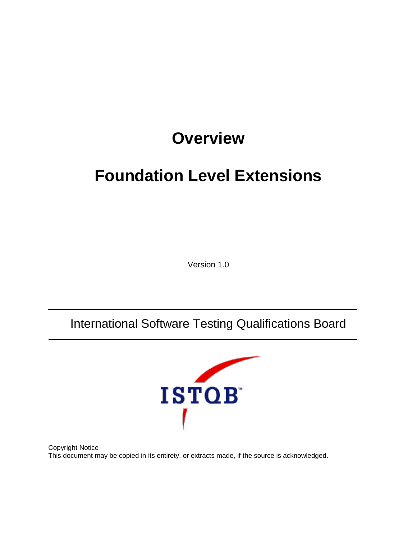# **Overview**

# **Foundation Level Extensions**

Version 1.0

## International Software Testing Qualifications Board



Copyright Notice This document may be copied in its entirety, or extracts made, if the source is acknowledged.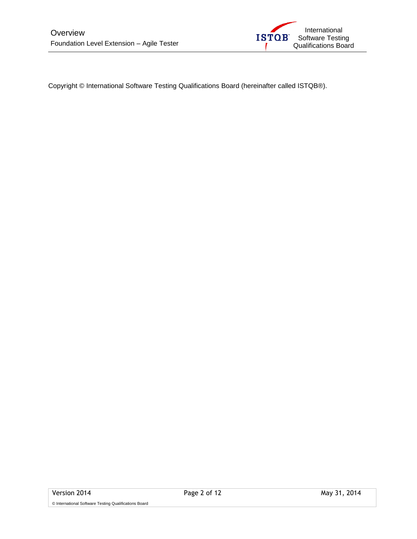

Copyright © International Software Testing Qualifications Board (hereinafter called ISTQB®).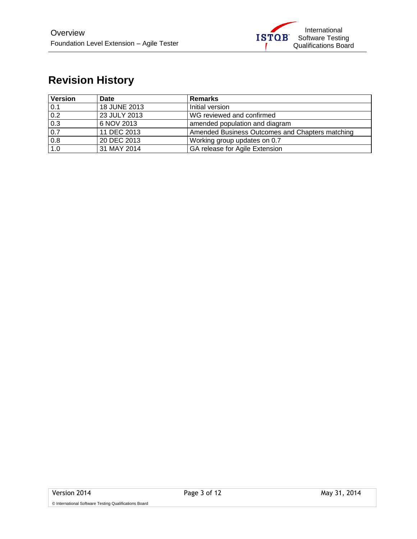

## **Revision History**

| <b>Version</b> | <b>Date</b>  | <b>Remarks</b>                                  |  |
|----------------|--------------|-------------------------------------------------|--|
| 0.1            | 18 JUNE 2013 | Initial version                                 |  |
| 0.2            | 23 JULY 2013 | WG reviewed and confirmed                       |  |
| 0.3            | 6 NOV 2013   | amended population and diagram                  |  |
| 0.7            | 11 DEC 2013  | Amended Business Outcomes and Chapters matching |  |
| 0.8            | 20 DEC 2013  | Working group updates on 0.7                    |  |
| 1.0            | 31 MAY 2014  | GA release for Agile Extension                  |  |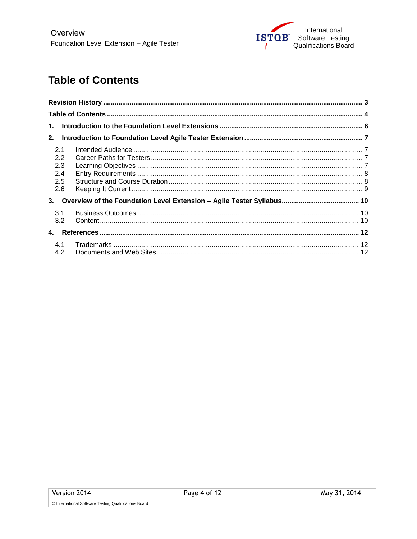

## **Table of Contents**

| 1.         |  |
|------------|--|
| 2.         |  |
| 2.1<br>2.2 |  |
| 2.3        |  |
| 2.4        |  |
| 2.5<br>2.6 |  |
| 3.         |  |
| 3.1<br>3.2 |  |
| 4.         |  |
| 4.1<br>4.2 |  |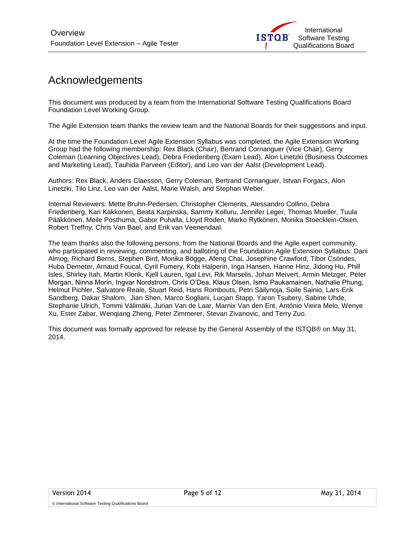## Acknowledgements

This document was produced by a team from the International Software Testing Qualifications Board Foundation Level Working Group.

The Agile Extension team thanks the review team and the National Boards for their suggestions and input.

At the time the Foundation Level Agile Extension Syllabus was completed, the Agile Extension Working Group had the following membership: Rex Black (Chair), Bertrand Cornanguer (Vice Chair), Gerry Coleman (Learning Objectives Lead), Debra Friedenberg (Exam Lead), Alon Linetzki (Business Outcomes and Marketing Lead), Tauhida Parveen (Editor), and Leo van der Aalst (Development Lead).

Authors: Rex Black, Anders Claesson, Gerry Coleman, Bertrand Cornanguer, Istvan Forgacs, Alon Linetzki, Tilo Linz, Leo van der Aalst, Marie Walsh, and Stephan Weber.

Internal Reviewers: Mette Bruhn-Pedersen, Christopher Clements, Alessandro Collino, Debra Friedenberg, Kari Kakkonen, Beata Karpinska, Sammy Kolluru, Jennifer Leger, Thomas Mueller, Tuula Pääkkönen, Meile Posthuma, Gabor Puhalla, Lloyd Roden, Marko Rytkönen, Monika Stoecklein-Olsen, Robert Treffny, Chris Van Bael, and Erik van Veenendaal.

The team thanks also the following persons, from the National Boards and the Agile expert community, who participated in reviewing, commenting, and balloting of the Foundation Agile Extension Syllabus: Dani Almog, Richard Berns, Stephen Bird, Monika Bögge, Afeng Chai, Josephine Crawford, Tibor Csöndes, Huba Demeter, Arnaud Foucal, Cyril Fumery, Kobi Halperin, Inga Hansen, Hanne Hinz, Jidong Hu, Phill Isles, Shirley Itah, Martin Klonk, Kjell Lauren, Igal Levi, Rik Marselis, Johan Meivert, Armin Metzger, Peter Morgan, Ninna Morin, Ingvar Nordstrom, Chris O'Dea, Klaus Olsen, Ismo Paukamainen, Nathalie Phung, Helmut Pichler, Salvatore Reale, Stuart Reid, Hans Rombouts, Petri Säilynoja, Soile Sainio, Lars-Erik Sandberg, Dakar Shalom, Jian Shen, Marco Sogliani, Lucjan Stapp, Yaron Tsubery, Sabine Uhde, Stephanie Ulrich, Tommi Välimäki, Jurian Van de Laar, Marnix Van den Ent, António Vieira Melo, Wenye Xu, Ester Zabar, Wenqiang Zheng, Peter Zimmerer, Stevan Zivanovic, and Terry Zuo.

This document was formally approved for release by the General Assembly of the ISTQB® on May 31, 2014.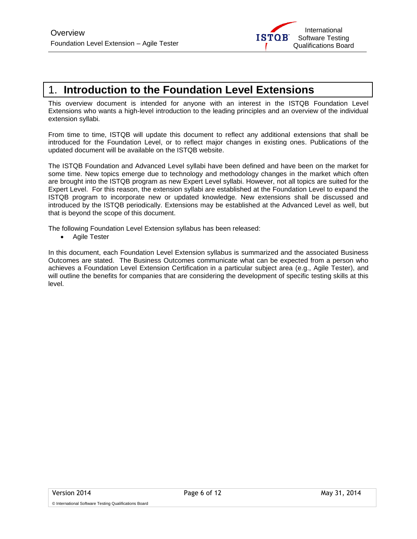

## 1. **Introduction to the Foundation Level Extensions**

This overview document is intended for anyone with an interest in the ISTQB Foundation Level Extensions who wants a high-level introduction to the leading principles and an overview of the individual extension syllabi.

From time to time, ISTQB will update this document to reflect any additional extensions that shall be introduced for the Foundation Level, or to reflect major changes in existing ones. Publications of the updated document will be available on the ISTQB website.

The ISTQB Foundation and Advanced Level syllabi have been defined and have been on the market for some time. New topics emerge due to technology and methodology changes in the market which often are brought into the ISTQB program as new Expert Level syllabi. However, not all topics are suited for the Expert Level. For this reason, the extension syllabi are established at the Foundation Level to expand the ISTQB program to incorporate new or updated knowledge. New extensions shall be discussed and introduced by the ISTQB periodically. Extensions may be established at the Advanced Level as well, but that is beyond the scope of this document.

The following Foundation Level Extension syllabus has been released:

• Agile Tester

In this document, each Foundation Level Extension syllabus is summarized and the associated Business Outcomes are stated. The Business Outcomes communicate what can be expected from a person who achieves a Foundation Level Extension Certification in a particular subject area (e.g., Agile Tester), and will outline the benefits for companies that are considering the development of specific testing skills at this level.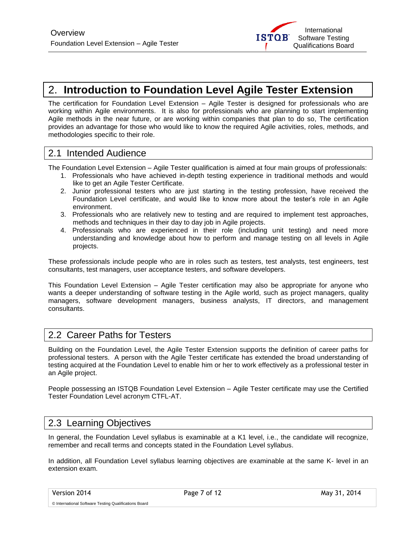## 2. **Introduction to Foundation Level Agile Tester Extension**

The certification for Foundation Level Extension – Agile Tester is designed for professionals who are working within Agile environments. It is also for professionals who are planning to start implementing Agile methods in the near future, or are working within companies that plan to do so, The certification provides an advantage for those who would like to know the required Agile activities, roles, methods, and methodologies specific to their role.

#### 2.1 Intended Audience

The Foundation Level Extension – Agile Tester qualification is aimed at four main groups of professionals:

- 1. Professionals who have achieved in-depth testing experience in traditional methods and would like to get an Agile Tester Certificate.
- 2. Junior professional testers who are just starting in the testing profession, have received the Foundation Level certificate, and would like to know more about the tester's role in an Agile environment.
- 3. Professionals who are relatively new to testing and are required to implement test approaches, methods and techniques in their day to day job in Agile projects.
- 4. Professionals who are experienced in their role (including unit testing) and need more understanding and knowledge about how to perform and manage testing on all levels in Agile projects.

These professionals include people who are in roles such as testers, test analysts, test engineers, test consultants, test managers, user acceptance testers, and software developers.

This Foundation Level Extension – Agile Tester certification may also be appropriate for anyone who wants a deeper understanding of software testing in the Agile world, such as project managers, quality managers, software development managers, business analysts, IT directors, and management consultants.

#### 2.2 Career Paths for Testers

Building on the Foundation Level, the Agile Tester Extension supports the definition of career paths for professional testers. A person with the Agile Tester certificate has extended the broad understanding of testing acquired at the Foundation Level to enable him or her to work effectively as a professional tester in an Agile project.

People possessing an ISTQB Foundation Level Extension – Agile Tester certificate may use the Certified Tester Foundation Level acronym CTFL-AT.

#### 2.3 Learning Objectives

In general, the Foundation Level syllabus is examinable at a K1 level, i.e., the candidate will recognize, remember and recall terms and concepts stated in the Foundation Level syllabus.

In addition, all Foundation Level syllabus learning objectives are examinable at the same K- level in an extension exam.

Version 2014 **Page 7 of 12** May 31, 2014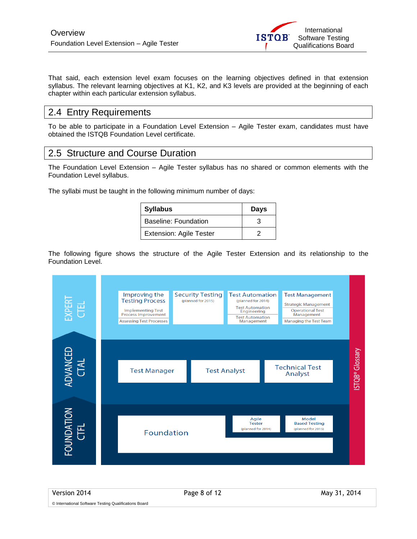That said, each extension level exam focuses on the learning objectives defined in that extension syllabus. The relevant learning objectives at K1, K2, and K3 levels are provided at the beginning of each chapter within each particular extension syllabus.

#### 2.4 Entry Requirements

To be able to participate in a Foundation Level Extension – Agile Tester exam, candidates must have obtained the ISTQB Foundation Level certificate.

#### 2.5 Structure and Course Duration

The Foundation Level Extension – Agile Tester syllabus has no shared or common elements with the Foundation Level syllabus.

The syllabi must be taught in the following minimum number of days:

| <b>Syllabus</b>                | <b>Days</b> |
|--------------------------------|-------------|
| Baseline: Foundation           |             |
| <b>Extension: Agile Tester</b> |             |

The following figure shows the structure of the Agile Tester Extension and its relationship to the Foundation Level.



Version 2014 **Page 8 of 12** May 31, 2014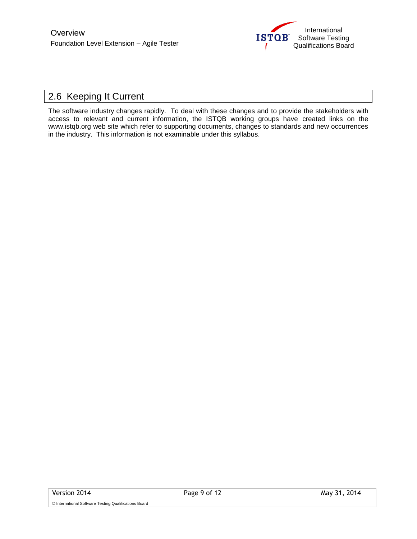

### 2.6 Keeping It Current

The software industry changes rapidly. To deal with these changes and to provide the stakeholders with access to relevant and current information, the ISTQB working groups have created links on the www.istqb.org web site which refer to supporting documents, changes to standards and new occurrences in the industry. This information is not examinable under this syllabus.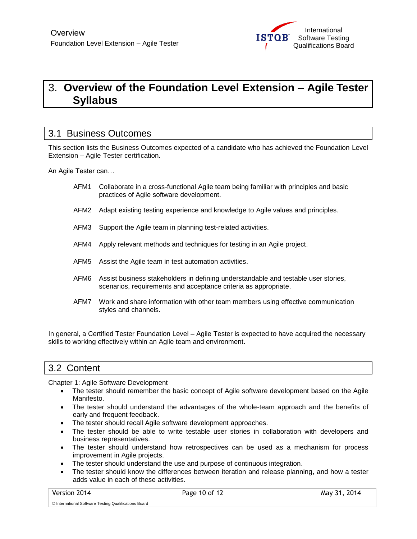## 3. **Overview of the Foundation Level Extension – Agile Tester Syllabus**

#### 3.1 Business Outcomes

This section lists the Business Outcomes expected of a candidate who has achieved the Foundation Level Extension – Agile Tester certification.

An Agile Tester can…

- AFM1 Collaborate in a cross-functional Agile team being familiar with principles and basic practices of Agile software development.
- AFM2 Adapt existing testing experience and knowledge to Agile values and principles.
- AFM3 Support the Agile team in planning test-related activities.
- AFM4 Apply relevant methods and techniques for testing in an Agile project.
- AFM5 Assist the Agile team in test automation activities.
- AFM6 Assist business stakeholders in defining understandable and testable user stories, scenarios, requirements and acceptance criteria as appropriate.
- AFM7 Work and share information with other team members using effective communication styles and channels.

In general, a Certified Tester Foundation Level – Agile Tester is expected to have acquired the necessary skills to working effectively within an Agile team and environment.

#### 3.2 Content

Chapter 1: Agile Software Development

- The tester should remember the basic concept of Agile software development based on the Agile Manifesto.
- The tester should understand the advantages of the whole-team approach and the benefits of early and frequent feedback.
- The tester should recall Agile software development approaches.
- The tester should be able to write testable user stories in collaboration with developers and business representatives.
- The tester should understand how retrospectives can be used as a mechanism for process improvement in Agile projects.
- The tester should understand the use and purpose of continuous integration.
- The tester should know the differences between iteration and release planning, and how a tester adds value in each of these activities.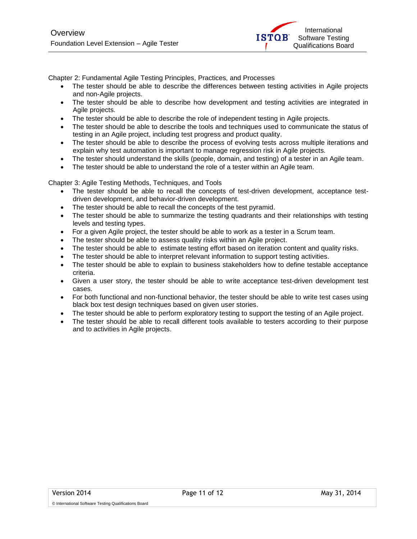Chapter 2: Fundamental Agile Testing Principles, Practices, and Processes

- The tester should be able to describe the differences between testing activities in Agile projects and non-Agile projects.
- The tester should be able to describe how development and testing activities are integrated in Agile projects.
- The tester should be able to describe the role of independent testing in Agile projects.
- The tester should be able to describe the tools and techniques used to communicate the status of testing in an Agile project, including test progress and product quality.
- The tester should be able to describe the process of evolving tests across multiple iterations and explain why test automation is important to manage regression risk in Agile projects.
- The tester should understand the skills (people, domain, and testing) of a tester in an Agile team.
- The tester should be able to understand the role of a tester within an Agile team.

Chapter 3: Agile Testing Methods, Techniques, and Tools

- The tester should be able to recall the concepts of test-driven development, acceptance testdriven development, and behavior-driven development.
- The tester should be able to recall the concepts of the test pyramid.
- The tester should be able to summarize the testing quadrants and their relationships with testing levels and testing types.
- For a given Agile project, the tester should be able to work as a tester in a Scrum team.
- The tester should be able to assess quality risks within an Agile project.
- The tester should be able to estimate testing effort based on iteration content and quality risks.
- The tester should be able to interpret relevant information to support testing activities.
- The tester should be able to explain to business stakeholders how to define testable acceptance criteria.
- Given a user story, the tester should be able to write acceptance test-driven development test cases.
- For both functional and non-functional behavior, the tester should be able to write test cases using black box test design techniques based on given user stories.
- The tester should be able to perform exploratory testing to support the testing of an Agile project.
- The tester should be able to recall different tools available to testers according to their purpose and to activities in Agile projects.